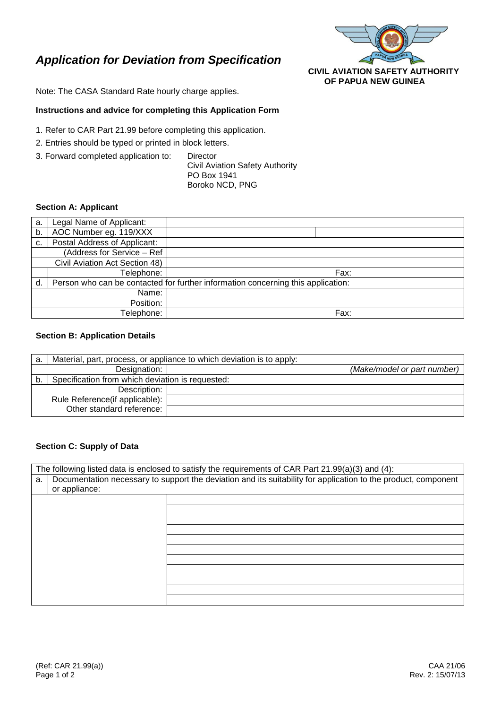# *Application for Deviation from Specification*



Note: The CASA Standard Rate hourly charge applies.

## **Instructions and advice for completing this Application Form**

- 1. Refer to CAR Part 21.99 before completing this application.
- 2. Entries should be typed or printed in block letters.
- 3. Forward completed application to: Director

Civil Aviation Safety Authority PO Box 1941 Boroko NCD, PNG

## **Section A: Applicant**

| a.                             | Legal Name of Applicant:                                                         |      |
|--------------------------------|----------------------------------------------------------------------------------|------|
| b.                             | AOC Number eg. 119/XXX                                                           |      |
| c.                             | Postal Address of Applicant:                                                     |      |
|                                | (Address for Service - Ref                                                       |      |
| Civil Aviation Act Section 48) |                                                                                  |      |
|                                | Telephone:                                                                       | Fax: |
| d.                             | Person who can be contacted for further information concerning this application: |      |
| Name:                          |                                                                                  |      |
| Position:                      |                                                                                  |      |
| Telephone:                     |                                                                                  | Fax: |

#### **Section B: Application Details**

| a. | Material, part, process, or appliance to which deviation is to apply: |  |                             |
|----|-----------------------------------------------------------------------|--|-----------------------------|
|    | Designation:                                                          |  | (Make/model or part number) |
| b. | Specification from which deviation is requested:                      |  |                             |
|    | Description:                                                          |  |                             |
|    | Rule Reference (if applicable):                                       |  |                             |
|    | Other standard reference:                                             |  |                             |

## **Section C: Supply of Data**

| The following listed data is enclosed to satisfy the requirements of CAR Part 21.99(a)(3) and (4): |                                                                                                                |  |  |  |
|----------------------------------------------------------------------------------------------------|----------------------------------------------------------------------------------------------------------------|--|--|--|
| a.                                                                                                 | Documentation necessary to support the deviation and its suitability for application to the product, component |  |  |  |
|                                                                                                    | or appliance:                                                                                                  |  |  |  |
|                                                                                                    |                                                                                                                |  |  |  |
|                                                                                                    |                                                                                                                |  |  |  |
|                                                                                                    |                                                                                                                |  |  |  |
|                                                                                                    |                                                                                                                |  |  |  |
|                                                                                                    |                                                                                                                |  |  |  |
|                                                                                                    |                                                                                                                |  |  |  |
|                                                                                                    |                                                                                                                |  |  |  |
|                                                                                                    |                                                                                                                |  |  |  |
|                                                                                                    |                                                                                                                |  |  |  |
|                                                                                                    |                                                                                                                |  |  |  |
|                                                                                                    |                                                                                                                |  |  |  |